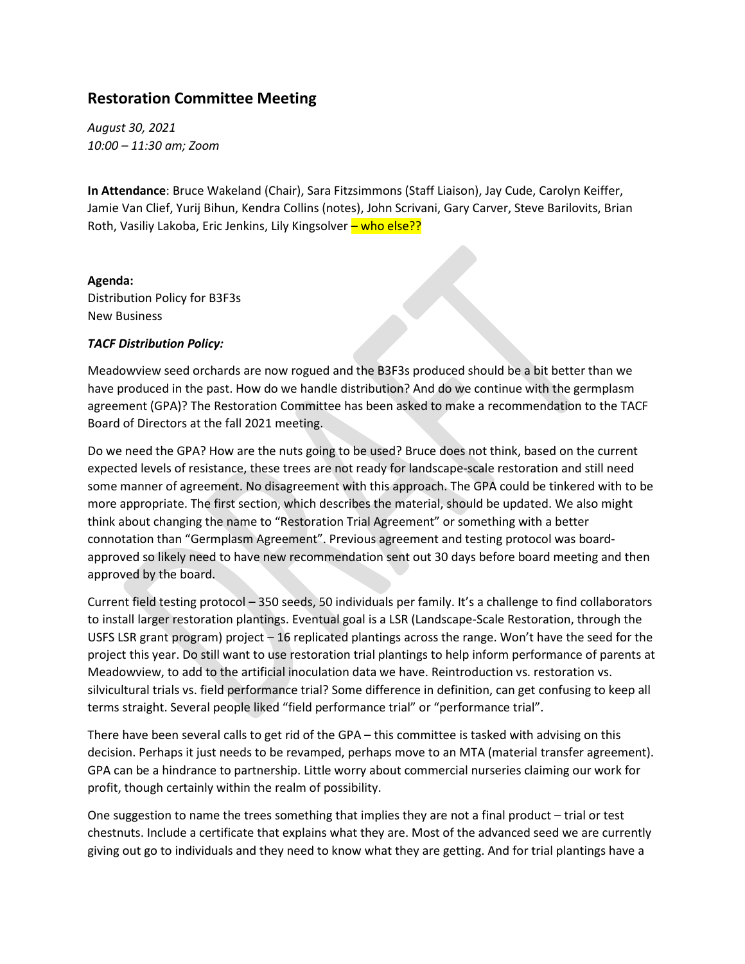## **Restoration Committee Meeting**

*August 30, 2021 10:00 – 11:30 am; Zoom*

**In Attendance**: Bruce Wakeland (Chair), Sara Fitzsimmons (Staff Liaison), Jay Cude, Carolyn Keiffer, Jamie Van Clief, Yurij Bihun, Kendra Collins (notes), John Scrivani, Gary Carver, Steve Barilovits, Brian Roth, Vasiliy Lakoba, Eric Jenkins, Lily Kingsolver - who else??

## **Agenda:**

Distribution Policy for B3F3s New Business

## *TACF Distribution Policy:*

Meadowview seed orchards are now rogued and the B3F3s produced should be a bit better than we have produced in the past. How do we handle distribution? And do we continue with the germplasm agreement (GPA)? The Restoration Committee has been asked to make a recommendation to the TACF Board of Directors at the fall 2021 meeting.

Do we need the GPA? How are the nuts going to be used? Bruce does not think, based on the current expected levels of resistance, these trees are not ready for landscape-scale restoration and still need some manner of agreement. No disagreement with this approach. The GPA could be tinkered with to be more appropriate. The first section, which describes the material, should be updated. We also might think about changing the name to "Restoration Trial Agreement" or something with a better connotation than "Germplasm Agreement". Previous agreement and testing protocol was boardapproved so likely need to have new recommendation sent out 30 days before board meeting and then approved by the board.

Current field testing protocol – 350 seeds, 50 individuals per family. It's a challenge to find collaborators to install larger restoration plantings. Eventual goal is a LSR (Landscape-Scale Restoration, through the USFS LSR grant program) project – 16 replicated plantings across the range. Won't have the seed for the project this year. Do still want to use restoration trial plantings to help inform performance of parents at Meadowview, to add to the artificial inoculation data we have. Reintroduction vs. restoration vs. silvicultural trials vs. field performance trial? Some difference in definition, can get confusing to keep all terms straight. Several people liked "field performance trial" or "performance trial".

There have been several calls to get rid of the GPA – this committee is tasked with advising on this decision. Perhaps it just needs to be revamped, perhaps move to an MTA (material transfer agreement). GPA can be a hindrance to partnership. Little worry about commercial nurseries claiming our work for profit, though certainly within the realm of possibility.

One suggestion to name the trees something that implies they are not a final product – trial or test chestnuts. Include a certificate that explains what they are. Most of the advanced seed we are currently giving out go to individuals and they need to know what they are getting. And for trial plantings have a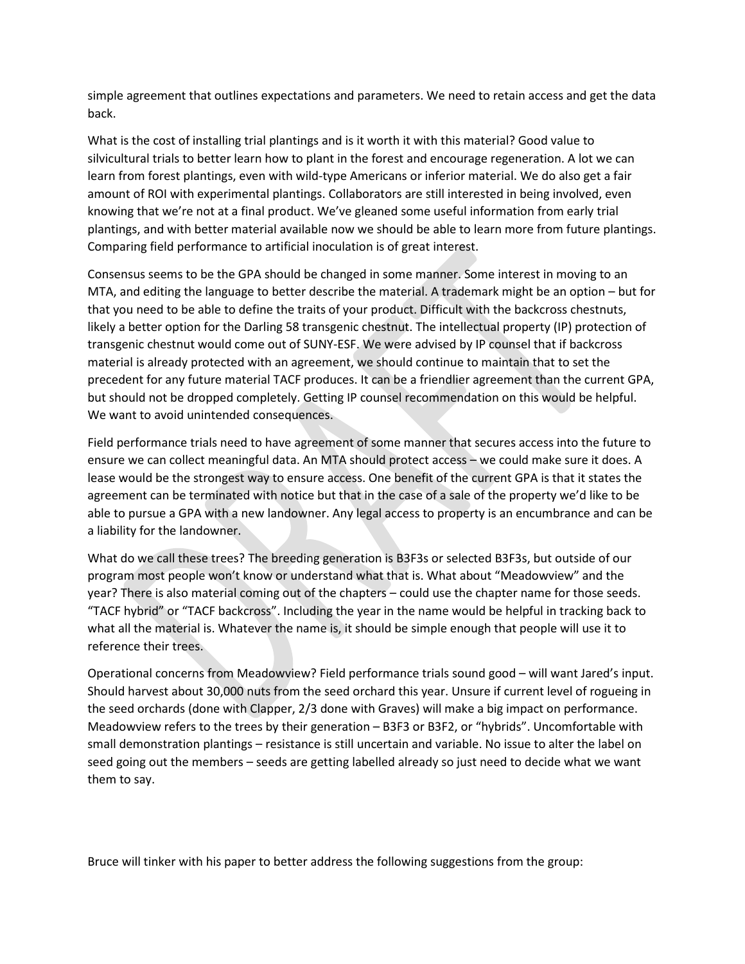simple agreement that outlines expectations and parameters. We need to retain access and get the data back.

What is the cost of installing trial plantings and is it worth it with this material? Good value to silvicultural trials to better learn how to plant in the forest and encourage regeneration. A lot we can learn from forest plantings, even with wild-type Americans or inferior material. We do also get a fair amount of ROI with experimental plantings. Collaborators are still interested in being involved, even knowing that we're not at a final product. We've gleaned some useful information from early trial plantings, and with better material available now we should be able to learn more from future plantings. Comparing field performance to artificial inoculation is of great interest.

Consensus seems to be the GPA should be changed in some manner. Some interest in moving to an MTA, and editing the language to better describe the material. A trademark might be an option – but for that you need to be able to define the traits of your product. Difficult with the backcross chestnuts, likely a better option for the Darling 58 transgenic chestnut. The intellectual property (IP) protection of transgenic chestnut would come out of SUNY-ESF. We were advised by IP counsel that if backcross material is already protected with an agreement, we should continue to maintain that to set the precedent for any future material TACF produces. It can be a friendlier agreement than the current GPA, but should not be dropped completely. Getting IP counsel recommendation on this would be helpful. We want to avoid unintended consequences.

Field performance trials need to have agreement of some manner that secures access into the future to ensure we can collect meaningful data. An MTA should protect access – we could make sure it does. A lease would be the strongest way to ensure access. One benefit of the current GPA is that it states the agreement can be terminated with notice but that in the case of a sale of the property we'd like to be able to pursue a GPA with a new landowner. Any legal access to property is an encumbrance and can be a liability for the landowner.

What do we call these trees? The breeding generation is B3F3s or selected B3F3s, but outside of our program most people won't know or understand what that is. What about "Meadowview" and the year? There is also material coming out of the chapters – could use the chapter name for those seeds. "TACF hybrid" or "TACF backcross". Including the year in the name would be helpful in tracking back to what all the material is. Whatever the name is, it should be simple enough that people will use it to reference their trees.

Operational concerns from Meadowview? Field performance trials sound good – will want Jared's input. Should harvest about 30,000 nuts from the seed orchard this year. Unsure if current level of rogueing in the seed orchards (done with Clapper, 2/3 done with Graves) will make a big impact on performance. Meadowview refers to the trees by their generation – B3F3 or B3F2, or "hybrids". Uncomfortable with small demonstration plantings – resistance is still uncertain and variable. No issue to alter the label on seed going out the members – seeds are getting labelled already so just need to decide what we want them to say.

Bruce will tinker with his paper to better address the following suggestions from the group: